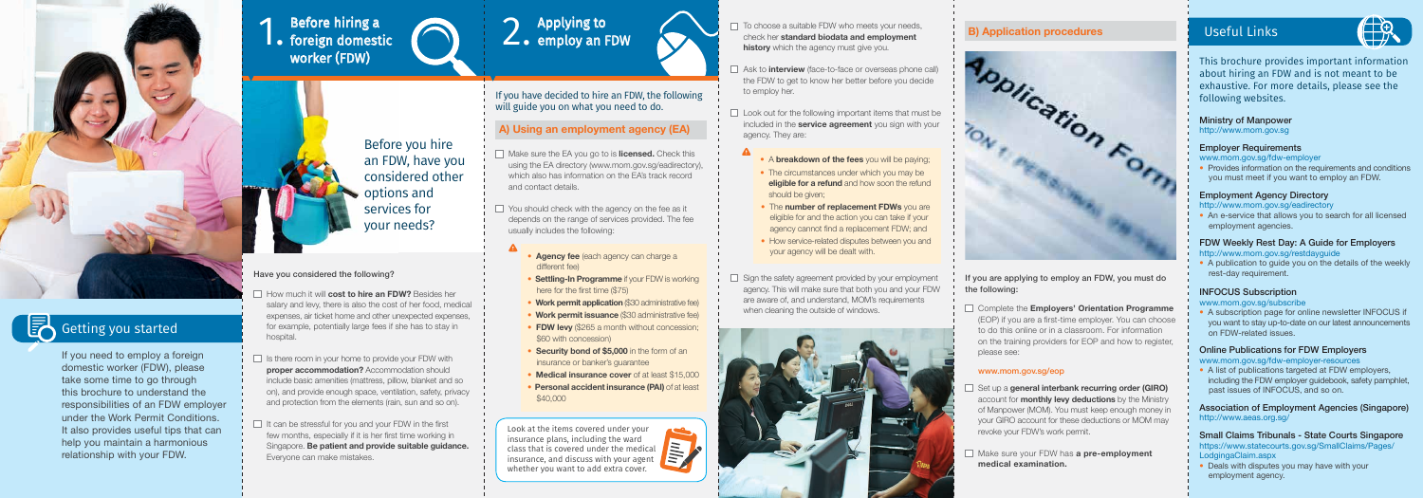Complete the **Employers' Orientation Programme**  (EOP) if you are a first-time employer. You can choose to do this online or in a classroom. For information on the training providers for EOP and how to register, please see:

#### www.mom.gov.sg/eop

- Set up a **general interbank recurring order (GIRO)**  account for **monthly levy deductions** by the Ministry of Manpower (MOM). You must keep enough money in your GIRO account for these deductions or MOM may revoke your FDW's work permit.
- Make sure your FDW has **a pre-employment medical examination.**

If you are applying to employ an FDW, you must do the following:

#### **B) Application procedures**



 $\Box$  Is there room in your home to provide your FDW with **proper accommodation?** Accommodation should include basic amenities (mattress, pillow, blanket and so on), and provide enough space, ventilation, safety, privacy and protection from the elements (rain, sun and so on).

If you need to employ a foreign domestic worker (FDW), please take some time to go through this brochure to understand the responsibilities of an FDW employer under the Work Permit Conditions. It also provides useful tips that can help you maintain a harmonious relationship with your FDW.

 $\Box$  It can be stressful for you and your FDW in the first few months, especially if it is her first time working in Singapore. **Be patient and provide suitable guidance.**

salary and levy, there is also the cost of her food, medical expenses, air ticket home and other unexpected expenses, for example, potentially large fees if she has to stay in

> Look at the items covered under your<br>insurance plans, including the ward insurance plans, including the ward class that is covered under the medical insurance, and discuss with your agent whether you want to add extra cover.



Everyone can make mistakes.

hospital.



 $\Box$  Look out for the following important items that must be included in the **service agreement** you sign with your agency. They are:

 $\Box$  Sign the safety agreement provided by your employment agency. This will make sure that both you and your FDW are aware of, and understand, MOM's requirements when cleaning the outside of windows.



- Make sure the EA you go to is **licensed.** Check this using the EA directory (www.mom.gov.sg/eadirectory), which also has information on the EA's track record and contact details.
- $\Box$  You should check with the agency on the fee as it depends on the range of services provided. The fee usually includes the following:





## Getting you started

Before you hire

an FDW, have you considered other

# 2. Applying to<br>2. employ an FDW

 $\Box$  To choose a suitable FDW who meets your needs, check her **standard biodata and employment history** which the agency must give you.



options and services for

your needs?

Before hiring a **I**. foreign domestic worker (FDW)

> • Provides information on the requirements and conditions you must meet if you want to employ an FDW.

> • A publication to guide you on the details of the weekly rest-day requirement.

- **Agency fee** (each agency can charge a different fee)
- **Settling-In Programme** if your FDW is working here for the first time (\$75)
- **Work permit application** (\$30 administrative fee)
- **Work permit issuance** (\$30 administrative fee)
- **FDW levy** (\$265 a month without concession; \$60 with concession)
- **Security bond of \$5,000** in the form of an insurance or banker's guarantee
- **Medical insurance cover** of at least \$15,000
- **Personal accident insurance (PAI)** of at least \$40,000

• Deals with disputes you may have with your employment agency.

If you have decided to hire an FDW, the following will guide you on what you need to do.

**A) Using an employment agency (EA)**

Ask to **interview** (face-to-face or overseas phone call) the FDW to get to know her better before you decide to employ her.

- A **breakdown of the fees** you will be paying;
- The circumstances under which you may be **eligible for a refund** and how soon the refund should be given;
- The **number of replacement FDWs** you are eligible for and the action you can take if your agency cannot find a replacement FDW; and
- How service-related disputes between you and your agency will be dealt with.

This brochure provides important information about hiring an FDW and is not meant to be exhaustive. For more details, please see the following websites.

#### Ministry of Manpower

http://www.mom.gov.sg

#### Employer Requirements

www.mom.gov.sg/fdw-employer

#### Employment Agency Directory

http://www.mom.gov.sg/eadirectory

• An e-service that allows you to search for all licensed employment agencies.

#### FDW Weekly Rest Day: A Guide for Employers

http://www.mom.gov.sg/restdayguide

#### INFOCUS Subscription

www.mom.gov.sg/subscribe

• A subscription page for online newsletter INFOCUS if you want to stay up-to-date on our latest announcements on FDW-related issues.

#### Online Publications for FDW Employers

www.mom.gov.sg/fdw-employer-resources

• A list of publications targeted at FDW employers, including the FDW employer guidebook, safety pamphlet, past issues of INFOCUS, and so on.

Association of Employment Agencies (Singapore) http://www.aeas.org.sg/

Small Claims Tribunals - State Courts Singapore https://www.statecourts.gov.sg/SmallClaims/Pages/ LodgingaClaim.aspx

### Useful Links